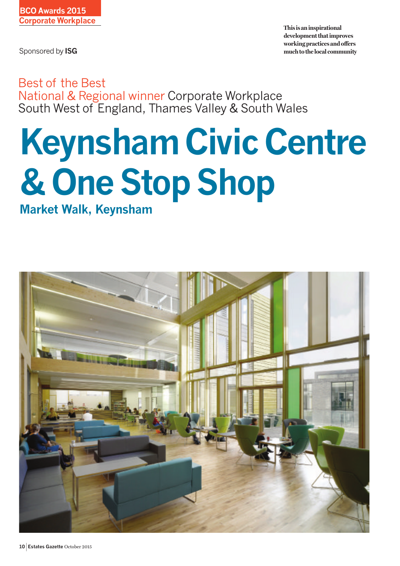Sponsored by **ISG**

**This is an inspirational development that improves working practices and offers much to the local community**

Best of the Best National & Regional winner Corporate Workplace South West of England, Thames Valley & South Wales

## **Keynsham Civic Centre & One Stop Shop**

**Market Walk, Keynsham**